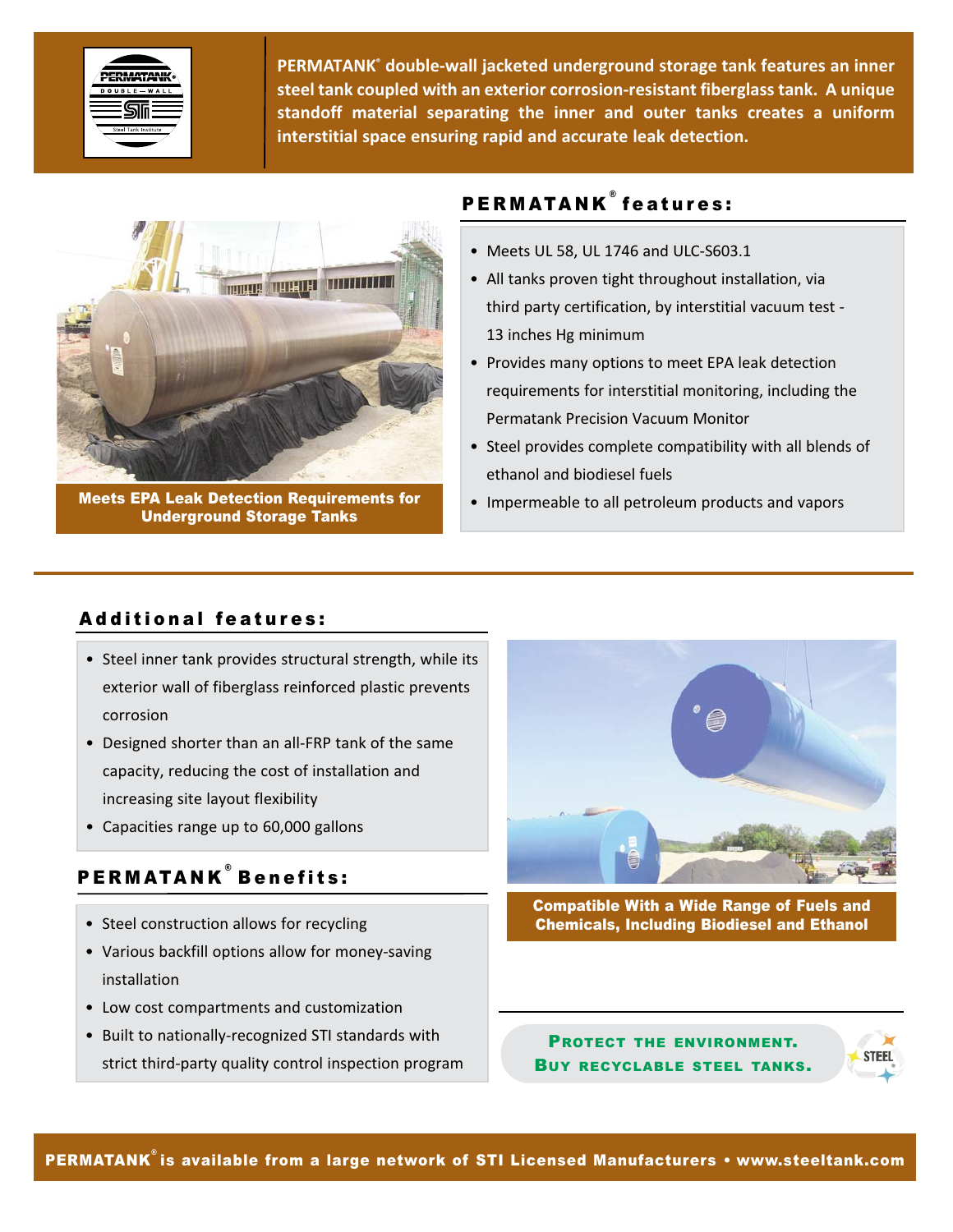

**PERMATANK® double‐wall jacketed underground storage tank features an inner steel tank coupled with an exterior corrosion‐resistant fiberglass tank. A unique standoff material separating the inner and outer tanks creates a uniform interstitial space ensuring rapid and accurate leak detection.**



Meets EPA Leak Detection Requirements for Underground Storage Tanks

# PERMATANK<sup>®</sup> features:

- Meets UL 58, UL 1746 and ULC‐S603.1
- All tanks proven tight throughout installation, via third party certification, by interstitial vacuum test ‐ 13 inches Hg minimum
- Provides many options to meet EPA leak detection requirements for interstitial monitoring, including the Permatank Precision Vacuum Monitor
- Steel provides complete compatibility with all blends of ethanol and biodiesel fuels
- Impermeable to all petroleum products and vapors

# Additional features:

- Steel inner tank provides structural strength, while its exterior wall of fiberglass reinforced plastic prevents corrosion
- Designed shorter than an all‐FRP tank of the same capacity, reducing the cost of installation and increasing site layout flexibility
- Capacities range up to 60,000 gallons

# PERMATANK ® Benefits:

- Steel construction allows for recycling
- Various backfill options allow for money‐saving installation
- Low cost compartments and customization
- Built to nationally‐recognized STI standards with strict third‐party quality control inspection program



Compatible With a Wide Range of Fuels and Chemicals, Including Biodiesel and Ethanol

PROTECT THE ENVIRONMENT. BUY RECYCLABLE STEEL TANKS.